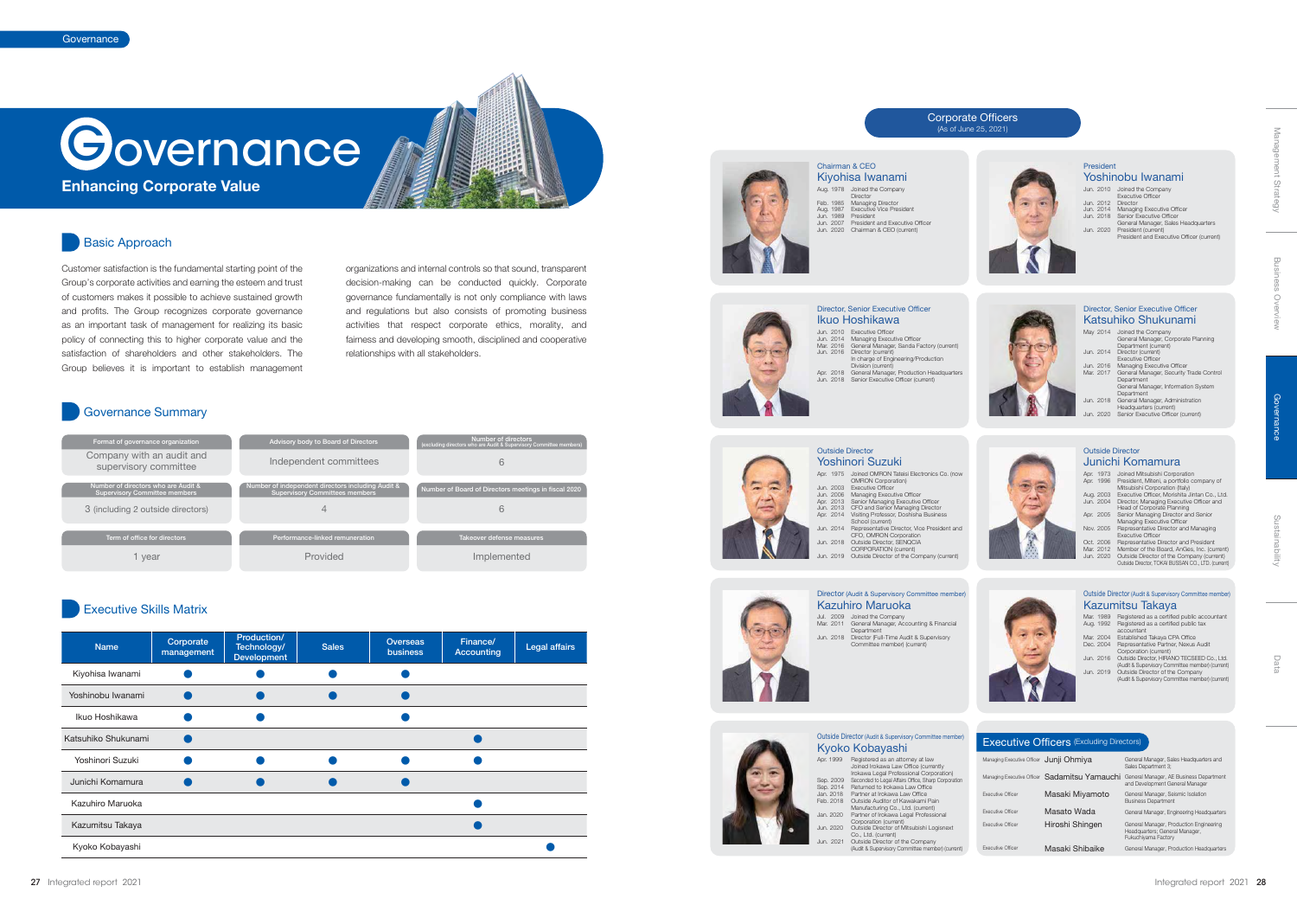# **Governance**

Customer satisfaction is the fundamental starting point of the Group's corporate activities and earning the esteem and trust of customers makes it possible to achieve sustained growth and profits. The Group recognizes corporate governance as an important task of management for realizing its basic policy of connecting this to higher corporate value and the satisfaction of shareholders and other stakeholders. The Group believes it is important to establish management

organizations and internal controls so that sound, transparent decision-making can be conducted quickly. Corporate governance fundamentally is not only compliance with laws and regulations but also consists of promoting business activities that respect corporate ethics, morality, and fairness and developing smooth, disciplined and cooperative relationships with all stakeholders.

- Division (current) Apr. 2018 General Manager, Production Headquarters Jun. 2018 Senior Executive Officer (current)
- Outside Director Yoshinori Suzuki Apr. 1975 Joined OMRON Tateisi Electronics Co. (now OMRON Corporation) Jun. 2003 Executive Officer  $7 -$

#### Corporate Officers (As of June 25, 2021)



| Format of governance organization                                           | Advisory body to Board of Directors                                                        | Number of directors<br>(excluding directors who are Audit & Supervisory Committee members) |
|-----------------------------------------------------------------------------|--------------------------------------------------------------------------------------------|--------------------------------------------------------------------------------------------|
| Company with an audit and<br>supervisory committee                          | Independent committees                                                                     |                                                                                            |
| Number of directors who are Audit &<br><b>Supervisory Committee members</b> | Number of independent directors including Audit &<br><b>Supervisory Committees members</b> | Number of Board of Directors meetings in fiscal 2020                                       |
| 3 (including 2 outside directors)                                           |                                                                                            |                                                                                            |
| Term of office for directors                                                | Performance-linked remuneration                                                            | Takeover defense measures                                                                  |
| vear                                                                        | Provided                                                                                   | Implemented                                                                                |

**Enhancing Corporate Value**

#### Basic Approach

#### Governance Summary

#### Executive Skills Matrix

| <b>Name</b>         | Corporate<br>management | Production/<br>Technology/<br><b>Development</b> | <b>Sales</b> | <b>Overseas</b><br>business | Finance/<br><b>Accounting</b> | <b>Legal affairs</b> |
|---------------------|-------------------------|--------------------------------------------------|--------------|-----------------------------|-------------------------------|----------------------|
| Kiyohisa Iwanami    |                         |                                                  |              |                             |                               |                      |
| Yoshinobu Iwanami   |                         |                                                  |              |                             |                               |                      |
| Ikuo Hoshikawa      |                         |                                                  |              |                             |                               |                      |
| Katsuhiko Shukunami |                         |                                                  |              |                             |                               |                      |
| Yoshinori Suzuki    |                         |                                                  |              |                             |                               |                      |
| Junichi Komamura    |                         |                                                  |              |                             |                               |                      |
| Kazuhiro Maruoka    |                         |                                                  |              |                             |                               |                      |
| Kazumitsu Takaya    |                         |                                                  |              |                             |                               |                      |
| Kyoko Kobayashi     |                         |                                                  |              |                             |                               |                      |



## Jun. 2010 Executive Officer Jun. 2014 Managing Executive Officer Mar. 2016 General Manager, Sanda Factory (current) Jun. 2016 Director (current) In charge of Engineering/Production Ikuo Hoshikawa Director, Senior Executive Officer

- Mar. 1989 Registered as a certified public accountant<br>Aug. 1992 Registered as a certified public tax<br>accountant<br>Mar. 2004 Established Takaya CPA Office<br>Dec. 2004 Representative Partner, Nexus Audit<br>Jun. 2016 Outside Direct
- (Audit & Supervisory Committee member) (current) Jun. 2019 Outside Director of the Company (Audit & Supervisory Committee member) (current)

#### **Executive Officers** (Excluding Directors)

## Jul. 2009 Joined the Company Mar. 2011 General Manager, Accounting & Financial Department Jun. 2018 Director (Full-Time Audit & Supervisory









| Irokawa Legal Professional Corporation)             |
|-----------------------------------------------------|
| Seconded to Legal Affairs Office, Sharp Corporation |
| Returned to Irokawa Law Office                      |
| Partner at Irokawa Law Office                       |
| Outside Auditor of Kawakami Pain                    |
| Manufacturing Co., Ltd. (current)                   |
| Partner of Irokawa Legal Professional               |
| Corporation (current)                               |
| Outside Director of Mitsubishi Logisnext            |
| Co., Ltd. (current)                                 |
| Outside Director of the Company                     |
| (Audit & Supervisory Committee member) (current)    |
|                                                     |



## Management Strategy Management Strategy

Jun. 2006 Managing Executive Officer Apr. 2013 Senior Managing Executive Officer Jun. 2013 CFO and Senior Managing Director Apr. 2014 Visiting Professor, Doshisha Business School (current)

Jun. 2014 Representative Director, Vice President and CFO, OMRON Corporation Jun. 2018 Outside Director, SENQCIA CORPORATION (current) Jun. 2019 Outside Director of the Company (current)

| May 2014  | Joined the Company<br>General Manager, Corporate Planning<br>Department (current) |
|-----------|-----------------------------------------------------------------------------------|
| Jun. 2014 | Director (current)<br><b>Executive Officer</b>                                    |
| Jun. 2016 | Managing Executive Officer                                                        |
| Mar. 2017 | General Manager, Security Trade Control<br>Department                             |
|           | General Manager, Information System                                               |
|           | Department                                                                        |
| Jun. 2018 | General Manager, Administration                                                   |
|           | Headquarters (current)                                                            |
| Jun. 2020 | Senior Executive Officer (current)                                                |
|           |                                                                                   |

#### Katsuhiko Shukunami Director, Senior Executive Officer

#### Kazumitsu Takaya Outside Director (Audit & Supervisory Committee member)

| Apr. | 1973<br>Apr. 1996 | Joined Mitsubishi Corporation<br>President, Miteni, a portfolio company of |
|------|-------------------|----------------------------------------------------------------------------|
|      |                   | Mitsubishi Corporation (Italy)                                             |
|      | Aug. 2003         | Executive Officer. Morishita Jintan Co., Ltd.                              |
|      | Jun. 2004         | Director, Managing Executive Officer and                                   |
|      |                   | Head of Corporate Planning                                                 |
|      | Apr. 2005         | Senior Managing Director and Senior                                        |
|      |                   | Managing Executive Officer                                                 |
|      | Nov. 2005         | Representative Director and Managing                                       |
|      |                   | <b>Executive Officer</b>                                                   |
|      | Oct. 2006         | Representative Director and President                                      |
|      | Mar. 2012         | Member of the Board, AnGes, Inc. (current)                                 |
|      | Jun. 2020         | Outside Director of the Company (current)                                  |
|      |                   | Outside Director. TOKAI BUSSAN CO., LTD. (current)                         |



#### Junichi Komamura Outside Director

Aug. 1978 Joined the Company

Director Feb. 1985 Managing Director Aug. 1987 Executive Vice President Jun. 1989 President Jun. 2007 President and Executive Officer

Jun. 2020 Chairman & CEO (current)



Kiyohisa Iwanami Chairman & CEO

|           | Jun. 2010 Joined the Company              |
|-----------|-------------------------------------------|
|           | <b>Executive Officer</b>                  |
| Jun. 2012 | Director                                  |
| Jun. 2014 | Managing Executive Officer                |
| Jun. 2018 | Senior Executive Officer                  |
|           | General Manager, Sales Headquarters       |
| Jun. 2020 | President (current)                       |
|           | President and Executive Officer (current) |



#### Yoshinobu Iwanami President

| Managing Executive Officer | Junji Ohmiya       | General Manager, Sales Headquarters and<br>Sales Department 3:                                   |
|----------------------------|--------------------|--------------------------------------------------------------------------------------------------|
| Managing Executive Officer | Sadamitsu Yamauchi | General Manager, AE Business Department<br>and Development General Manager                       |
| <b>Executive Officer</b>   | Masaki Miyamoto    | General Manager, Seismic Isolation<br><b>Business Department</b>                                 |
| <b>Executive Officer</b>   | Masato Wada        | General Manager, Engineering Headquarters                                                        |
| <b>Executive Officer</b>   | Hiroshi Shingen    | General Manager, Production Engineering<br>Headquarters; General Manager,<br>Fukuchivama Factory |
| <b>Executive Officer</b>   | Masaki Shibaike    | General Manager, Production Headquarters                                                         |

Data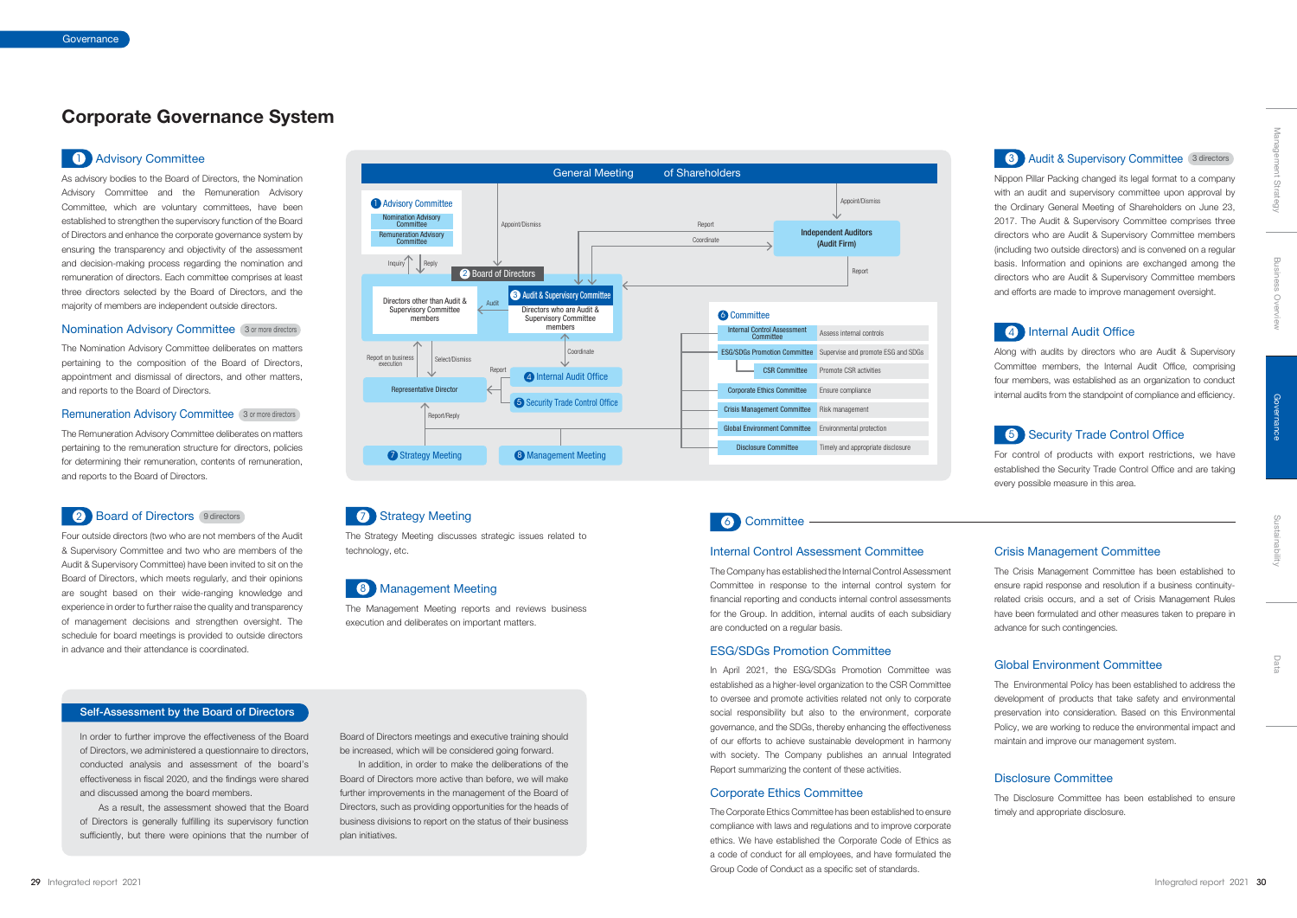

In order to further improve the effectiveness of the Board of Directors, we administered a questionnaire to directors, conducted analysis and assessment of the board's effectiveness in fiscal 2020, and the findings were shared and discussed among the board members.

As a result, the assessment showed that the Board of Directors is generally fulfilling its supervisory function sufficiently, but there were opinions that the number of



#### **7 Strategy Meeting**

Board of Directors meetings and executive training should be increased, which will be considered going forward.

In addition, in order to make the deliberations of the Board of Directors more active than before, we will make further improvements in the management of the Board of Directors, such as providing opportunities for the heads of business divisions to report on the status of their business plan initiatives.

#### Self-Assessment by the Board of Directors

## **Corporate Governance System**

#### 1 Advisory Committee

As advisory bodies to the Board of Directors, the Nomination Advisory Committee and the Remuneration Advisory Committee, which are voluntary committees, have been established to strengthen the supervisory function of the Board of Directors and enhance the corporate governance system by ensuring the transparency and objectivity of the assessment and decision-making process regarding the nomination and remuneration of directors. Each committee comprises at least three directors selected by the Board of Directors, and the majority of members are independent outside directors.

#### **Nomination Advisory Committee** 3 or more directors

The Nomination Advisory Committee deliberates on matters pertaining to the composition of the Board of Directors, appointment and dismissal of directors, and other matters, and reports to the Board of Directors.

#### Remuneration Advisory Committee 3 or more directors

The Remuneration Advisory Committee deliberates on matters pertaining to the remuneration structure for directors, policies for determining their remuneration, contents of remuneration, and reports to the Board of Directors.

#### 2 Board of Directors 9 directors

Four outside directors (two who are not members of the Audit & Supervisory Committee and two who are members of the Audit & Supervisory Committee) have been invited to sit on the Board of Directors, which meets regularly, and their opinions are sought based on their wide-ranging knowledge and experience in order to further raise the quality and transparency of management decisions and strengthen oversight. The schedule for board meetings is provided to outside directors in advance and their attendance is coordinated.

Nippon Pillar Packing changed its legal format to a company with an audit and supervisory committee upon approval by the Ordinary General Meeting of Shareholders on June 23, 2017. The Audit & Supervisory Committee comprises three directors who are Audit & Supervisory Committee members (including two outside directors) and is convened on a regular basis. Information and opinions are exchanged among the directors who are Audit & Supervisory Committee members and efforts are made to improve management oversight.

#### **4** Internal Audit Office

Along with audits by directors who are Audit & Supervisory Committee members, the Internal Audit Office, comprising four members, was established as an organization to conduct internal audits from the standpoint of compliance and efficiency.

#### **5** Security Trade Control Office

For control of products with export restrictions, we have established the Security Trade Control Office and are taking every possible measure in this area.

The Strategy Meeting discusses strategic issues related to technology, etc.

#### 8 Management Meeting

The Management Meeting reports and reviews business execution and deliberates on important matters.

#### Internal Control Assessment Committee

The Company has established the Internal Control Assessment Committee in response to the internal control system for financial reporting and conducts internal control assessments for the Group. In addition, internal audits of each subsidiary are conducted on a regular basis.

#### ESG/SDGs Promotion Committee

In April 2021, the ESG/SDGs Promotion Committee was established as a higher-level organization to the CSR Committee to oversee and promote activities related not only to corporate social responsibility but also to the environment, corporate governance, and the SDGs, thereby enhancing the effectiveness of our efforts to achieve sustainable development in harmony with society. The Company publishes an annual Integrated Report summarizing the content of these activities.

#### Corporate Ethics Committee

The Corporate Ethics Committee has been established to ensure compliance with laws and regulations and to improve corporate ethics. We have established the Corporate Code of Ethics as a code of conduct for all employees, and have formulated the Group Code of Conduct as a specific set of standards.

#### Crisis Management Committee

The Crisis Management Committee has been established to ensure rapid response and resolution if a business continuityrelated crisis occurs, and a set of Crisis Management Rules have been formulated and other measures taken to prepare in advance for such contingencies.

#### Global Environment Committee

The Environmental Policy has been established to address the development of products that take safety and environmental preservation into consideration. Based on this Environmental Policy, we are working to reduce the environmental impact and maintain and improve our management system.

#### Disclosure Committee

The Disclosure Committee has been established to ensure timely and appropriate disclosure.

**3** Audit & Supervisory Committee 3 directors

Sustainability

Data